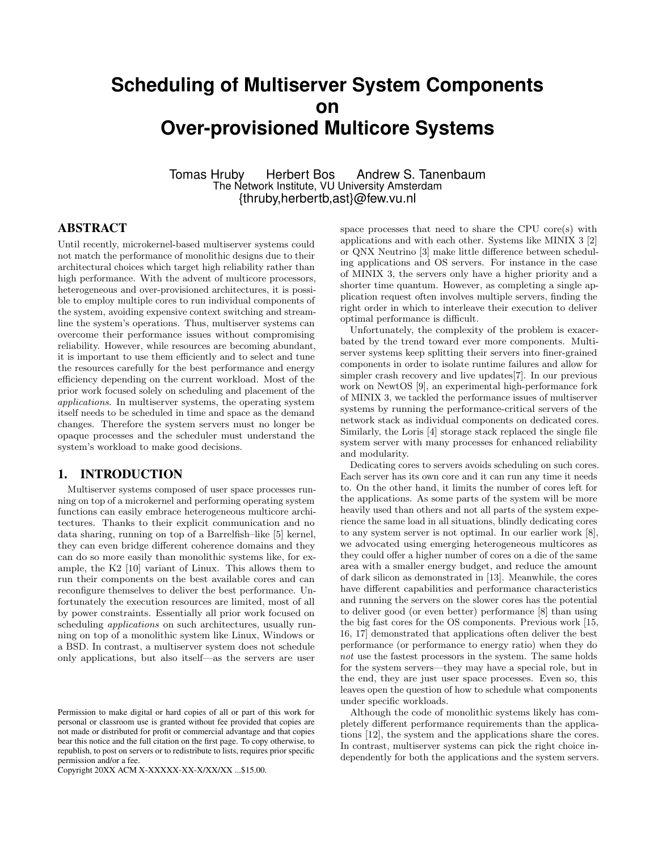# **Scheduling of Multiserver System Components on Over-provisioned Multicore Systems**

Tomas Hruby Herbert Bos Andrew S. Tanenbaum The Network Institute, VU University Amsterdam {thruby,herbertb,ast}@few.vu.nl

# ABSTRACT

Until recently, microkernel-based multiserver systems could not match the performance of monolithic designs due to their architectural choices which target high reliability rather than high performance. With the advent of multicore processors, heterogeneous and over-provisioned architectures, it is possible to employ multiple cores to run individual components of the system, avoiding expensive context switching and streamline the system's operations. Thus, multiserver systems can overcome their performance issues without compromising reliability. However, while resources are becoming abundant, it is important to use them efficiently and to select and tune the resources carefully for the best performance and energy efficiency depending on the current workload. Most of the prior work focused solely on scheduling and placement of the applications. In multiserver systems, the operating system itself needs to be scheduled in time and space as the demand changes. Therefore the system servers must no longer be opaque processes and the scheduler must understand the system's workload to make good decisions.

### 1. INTRODUCTION

Multiserver systems composed of user space processes running on top of a microkernel and performing operating system functions can easily embrace heterogeneous multicore architectures. Thanks to their explicit communication and no data sharing, running on top of a Barrelfish–like [5] kernel, they can even bridge different coherence domains and they can do so more easily than monolithic systems like, for example, the K2 [10] variant of Linux. This allows them to run their components on the best available cores and can reconfigure themselves to deliver the best performance. Unfortunately the execution resources are limited, most of all by power constraints. Essentially all prior work focused on scheduling *applications* on such architectures, usually running on top of a monolithic system like Linux, Windows or a BSD. In contrast, a multiserver system does not schedule only applications, but also itself—as the servers are user

Copyright 20XX ACM X-XXXXX-XX-X/XX/XX ...\$15.00.

space processes that need to share the CPU core(s) with applications and with each other. Systems like MINIX 3 [2] or QNX Neutrino [3] make little difference between scheduling applications and OS servers. For instance in the case of MINIX 3, the servers only have a higher priority and a shorter time quantum. However, as completing a single application request often involves multiple servers, finding the right order in which to interleave their execution to deliver optimal performance is difficult.

Unfortunately, the complexity of the problem is exacerbated by the trend toward ever more components. Multiserver systems keep splitting their servers into finer-grained components in order to isolate runtime failures and allow for simpler crash recovery and live updates[7]. In our previous work on NewtOS [9], an experimental high-performance fork of MINIX 3, we tackled the performance issues of multiserver systems by running the performance-critical servers of the network stack as individual components on dedicated cores. Similarly, the Loris [4] storage stack replaced the single file system server with many processes for enhanced reliability and modularity.

Dedicating cores to servers avoids scheduling on such cores. Each server has its own core and it can run any time it needs to. On the other hand, it limits the number of cores left for the applications. As some parts of the system will be more heavily used than others and not all parts of the system experience the same load in all situations, blindly dedicating cores to any system server is not optimal. In our earlier work [8], we advocated using emerging heterogeneous multicores as they could offer a higher number of cores on a die of the same area with a smaller energy budget, and reduce the amount of dark silicon as demonstrated in [13]. Meanwhile, the cores have different capabilities and performance characteristics and running the servers on the slower cores has the potential to deliver good (or even better) performance [8] than using the big fast cores for the OS components. Previous work [15, 16, 17] demonstrated that applications often deliver the best performance (or performance to energy ratio) when they do not use the fastest processors in the system. The same holds for the system servers—they may have a special role, but in the end, they are just user space processes. Even so, this leaves open the question of how to schedule what components under specific workloads.

Although the code of monolithic systems likely has completely different performance requirements than the applications [12], the system and the applications share the cores. In contrast, multiserver systems can pick the right choice independently for both the applications and the system servers.

Permission to make digital or hard copies of all or part of this work for personal or classroom use is granted without fee provided that copies are not made or distributed for profit or commercial advantage and that copies bear this notice and the full citation on the first page. To copy otherwise, to republish, to post on servers or to redistribute to lists, requires prior specific permission and/or a fee.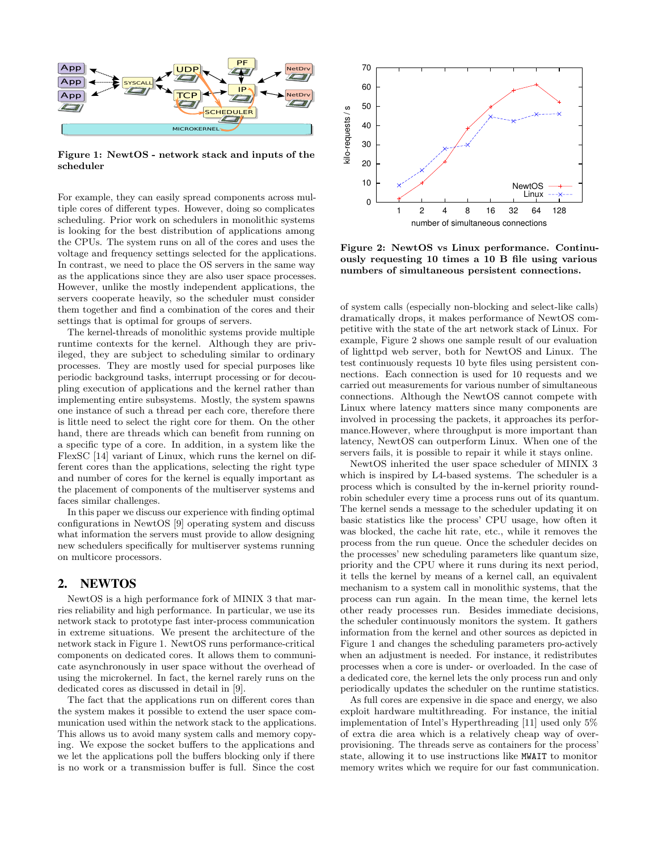

Figure 1: NewtOS - network stack and inputs of the scheduler

For example, they can easily spread components across multiple cores of different types. However, doing so complicates scheduling. Prior work on schedulers in monolithic systems is looking for the best distribution of applications among the CPUs. The system runs on all of the cores and uses the voltage and frequency settings selected for the applications. In contrast, we need to place the OS servers in the same way as the applications since they are also user space processes. However, unlike the mostly independent applications, the servers cooperate heavily, so the scheduler must consider them together and find a combination of the cores and their settings that is optimal for groups of servers.

The kernel-threads of monolithic systems provide multiple runtime contexts for the kernel. Although they are privileged, they are subject to scheduling similar to ordinary processes. They are mostly used for special purposes like periodic background tasks, interrupt processing or for decoupling execution of applications and the kernel rather than implementing entire subsystems. Mostly, the system spawns one instance of such a thread per each core, therefore there is little need to select the right core for them. On the other hand, there are threads which can benefit from running on a specific type of a core. In addition, in a system like the FlexSC [14] variant of Linux, which runs the kernel on different cores than the applications, selecting the right type and number of cores for the kernel is equally important as the placement of components of the multiserver systems and faces similar challenges.

In this paper we discuss our experience with finding optimal configurations in NewtOS [9] operating system and discuss what information the servers must provide to allow designing new schedulers specifically for multiserver systems running on multicore processors.

# 2. NEWTOS

NewtOS is a high performance fork of MINIX 3 that marries reliability and high performance. In particular, we use its network stack to prototype fast inter-process communication in extreme situations. We present the architecture of the network stack in Figure 1. NewtOS runs performance-critical components on dedicated cores. It allows them to communicate asynchronously in user space without the overhead of using the microkernel. In fact, the kernel rarely runs on the dedicated cores as discussed in detail in [9].

The fact that the applications run on different cores than the system makes it possible to extend the user space communication used within the network stack to the applications. This allows us to avoid many system calls and memory copying. We expose the socket buffers to the applications and we let the applications poll the buffers blocking only if there is no work or a transmission buffer is full. Since the cost



Figure 2: NewtOS vs Linux performance. Continuously requesting 10 times a 10 B file using various numbers of simultaneous persistent connections.

of system calls (especially non-blocking and select-like calls) dramatically drops, it makes performance of NewtOS competitive with the state of the art network stack of Linux. For example, Figure 2 shows one sample result of our evaluation of lighttpd web server, both for NewtOS and Linux. The test continuously requests 10 byte files using persistent connections. Each connection is used for 10 requests and we carried out measurements for various number of simultaneous connections. Although the NewtOS cannot compete with Linux where latency matters since many components are involved in processing the packets, it approaches its performance.However, where throughput is more important than latency, NewtOS can outperform Linux. When one of the servers fails, it is possible to repair it while it stays online.

NewtOS inherited the user space scheduler of MINIX 3 which is inspired by L4-based systems. The scheduler is a process which is consulted by the in-kernel priority roundrobin scheduler every time a process runs out of its quantum. The kernel sends a message to the scheduler updating it on basic statistics like the process' CPU usage, how often it was blocked, the cache hit rate, etc., while it removes the process from the run queue. Once the scheduler decides on the processes' new scheduling parameters like quantum size, priority and the CPU where it runs during its next period, it tells the kernel by means of a kernel call, an equivalent mechanism to a system call in monolithic systems, that the process can run again. In the mean time, the kernel lets other ready processes run. Besides immediate decisions, the scheduler continuously monitors the system. It gathers information from the kernel and other sources as depicted in Figure 1 and changes the scheduling parameters pro-actively when an adjustment is needed. For instance, it redistributes processes when a core is under- or overloaded. In the case of a dedicated core, the kernel lets the only process run and only periodically updates the scheduler on the runtime statistics.

As full cores are expensive in die space and energy, we also exploit hardware multithreading. For instance, the initial implementation of Intel's Hyperthreading [11] used only 5% of extra die area which is a relatively cheap way of overprovisioning. The threads serve as containers for the process' state, allowing it to use instructions like MWAIT to monitor memory writes which we require for our fast communication.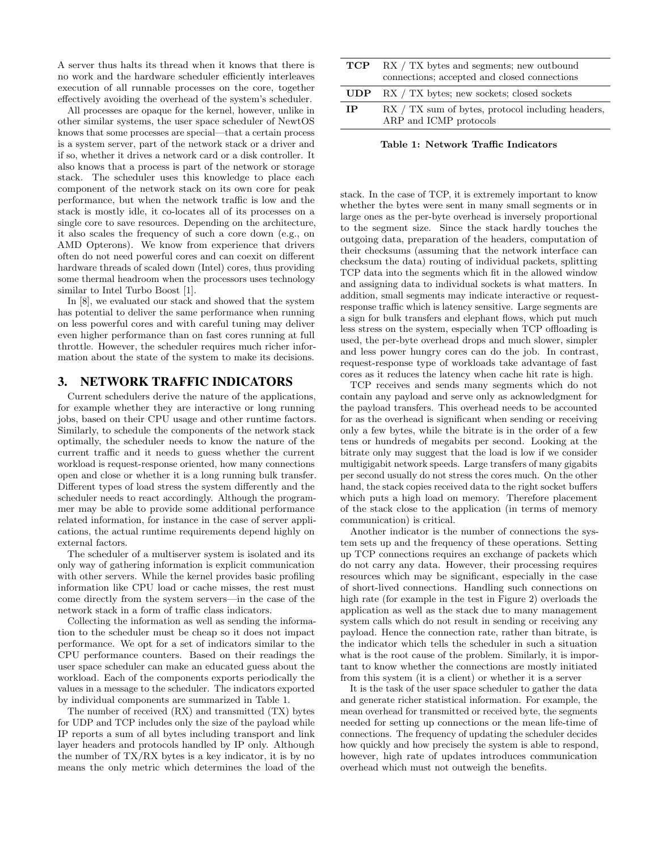A server thus halts its thread when it knows that there is no work and the hardware scheduler efficiently interleaves execution of all runnable processes on the core, together effectively avoiding the overhead of the system's scheduler.

All processes are opaque for the kernel, however, unlike in other similar systems, the user space scheduler of NewtOS knows that some processes are special—that a certain process is a system server, part of the network stack or a driver and if so, whether it drives a network card or a disk controller. It also knows that a process is part of the network or storage stack. The scheduler uses this knowledge to place each component of the network stack on its own core for peak performance, but when the network traffic is low and the stack is mostly idle, it co-locates all of its processes on a single core to save resources. Depending on the architecture, it also scales the frequency of such a core down (e.g., on AMD Opterons). We know from experience that drivers often do not need powerful cores and can coexit on different hardware threads of scaled down (Intel) cores, thus providing some thermal headroom when the processors uses technology similar to Intel Turbo Boost [1].

In [8], we evaluated our stack and showed that the system has potential to deliver the same performance when running on less powerful cores and with careful tuning may deliver even higher performance than on fast cores running at full throttle. However, the scheduler requires much richer information about the state of the system to make its decisions.

#### 3. NETWORK TRAFFIC INDICATORS

Current schedulers derive the nature of the applications, for example whether they are interactive or long running jobs, based on their CPU usage and other runtime factors. Similarly, to schedule the components of the network stack optimally, the scheduler needs to know the nature of the current traffic and it needs to guess whether the current workload is request-response oriented, how many connections open and close or whether it is a long running bulk transfer. Different types of load stress the system differently and the scheduler needs to react accordingly. Although the programmer may be able to provide some additional performance related information, for instance in the case of server applications, the actual runtime requirements depend highly on external factors.

The scheduler of a multiserver system is isolated and its only way of gathering information is explicit communication with other servers. While the kernel provides basic profiling information like CPU load or cache misses, the rest must come directly from the system servers—in the case of the network stack in a form of traffic class indicators.

Collecting the information as well as sending the information to the scheduler must be cheap so it does not impact performance. We opt for a set of indicators similar to the CPU performance counters. Based on their readings the user space scheduler can make an educated guess about the workload. Each of the components exports periodically the values in a message to the scheduler. The indicators exported by individual components are summarized in Table 1.

The number of received (RX) and transmitted (TX) bytes for UDP and TCP includes only the size of the payload while IP reports a sum of all bytes including transport and link layer headers and protocols handled by IP only. Although the number of TX/RX bytes is a key indicator, it is by no means the only metric which determines the load of the

| RX / TX sum of bytes, protocol including headers, |
|---------------------------------------------------|
|                                                   |

Table 1: Network Traffic Indicators

stack. In the case of TCP, it is extremely important to know whether the bytes were sent in many small segments or in large ones as the per-byte overhead is inversely proportional to the segment size. Since the stack hardly touches the outgoing data, preparation of the headers, computation of their checksums (assuming that the network interface can checksum the data) routing of individual packets, splitting TCP data into the segments which fit in the allowed window and assigning data to individual sockets is what matters. In addition, small segments may indicate interactive or requestresponse traffic which is latency sensitive. Large segments are a sign for bulk transfers and elephant flows, which put much less stress on the system, especially when TCP offloading is used, the per-byte overhead drops and much slower, simpler and less power hungry cores can do the job. In contrast, request-response type of workloads take advantage of fast cores as it reduces the latency when cache hit rate is high.

TCP receives and sends many segments which do not contain any payload and serve only as acknowledgment for the payload transfers. This overhead needs to be accounted for as the overhead is significant when sending or receiving only a few bytes, while the bitrate is in the order of a few tens or hundreds of megabits per second. Looking at the bitrate only may suggest that the load is low if we consider multigigabit network speeds. Large transfers of many gigabits per second usually do not stress the cores much. On the other hand, the stack copies received data to the right socket buffers which puts a high load on memory. Therefore placement of the stack close to the application (in terms of memory communication) is critical.

Another indicator is the number of connections the system sets up and the frequency of these operations. Setting up TCP connections requires an exchange of packets which do not carry any data. However, their processing requires resources which may be significant, especially in the case of short-lived connections. Handling such connections on high rate (for example in the test in Figure 2) overloads the application as well as the stack due to many management system calls which do not result in sending or receiving any payload. Hence the connection rate, rather than bitrate, is the indicator which tells the scheduler in such a situation what is the root cause of the problem. Similarly, it is important to know whether the connections are mostly initiated from this system (it is a client) or whether it is a server

It is the task of the user space scheduler to gather the data and generate richer statistical information. For example, the mean overhead for transmitted or received byte, the segments needed for setting up connections or the mean life-time of connections. The frequency of updating the scheduler decides how quickly and how precisely the system is able to respond, however, high rate of updates introduces communication overhead which must not outweigh the benefits.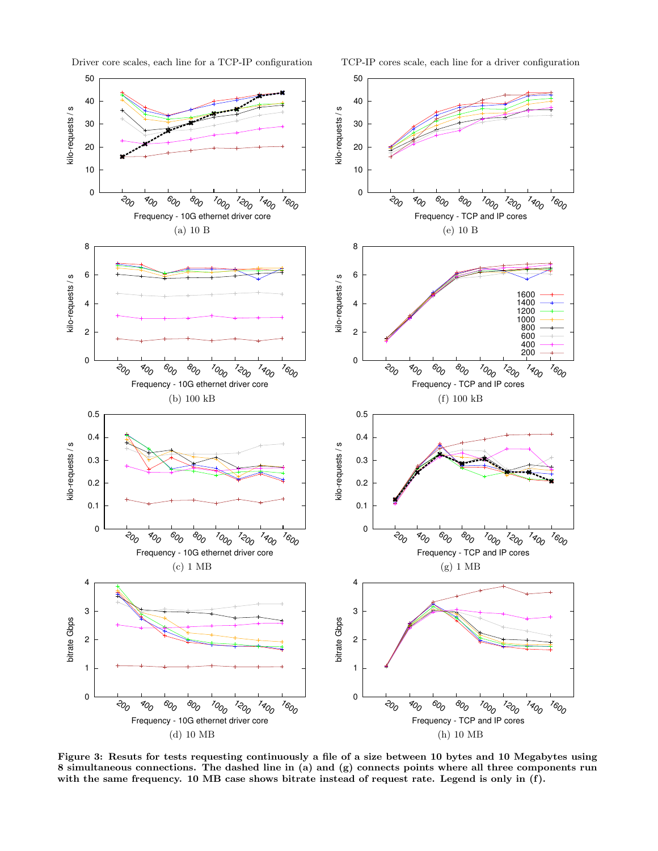

Driver core scales, each line for a TCP-IP configuration TCP-IP cores scale, each line for a driver configuration

Figure 3: Resuts for tests requesting continuously a file of a size between 10 bytes and 10 Megabytes using 8 simultaneous connections. The dashed line in (a) and (g) connects points where all three components run with the same frequency. 10 MB case shows bitrate instead of request rate. Legend is only in (f).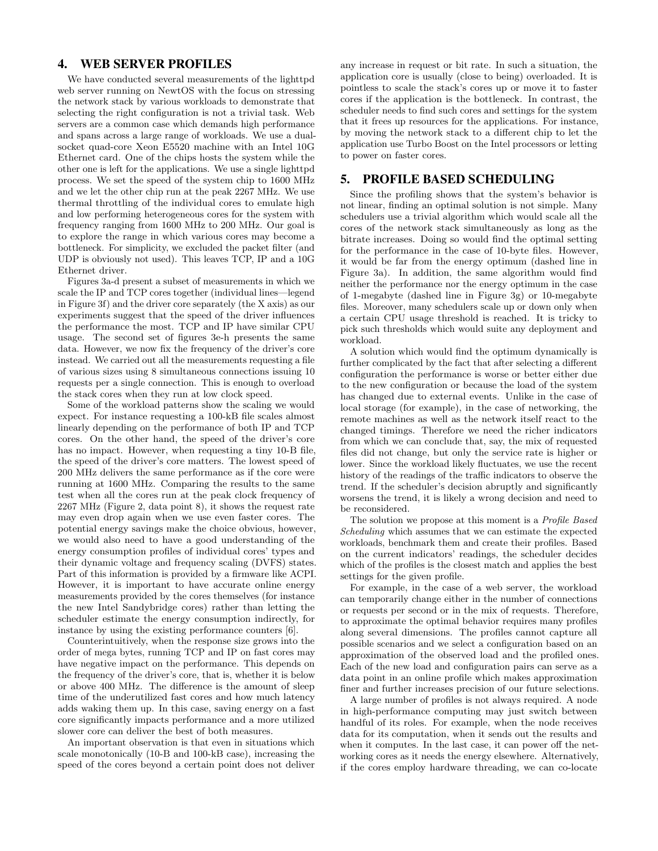# 4. WEB SERVER PROFILES

We have conducted several measurements of the lighttpd web server running on NewtOS with the focus on stressing the network stack by various workloads to demonstrate that selecting the right configuration is not a trivial task. Web servers are a common case which demands high performance and spans across a large range of workloads. We use a dualsocket quad-core Xeon E5520 machine with an Intel 10G Ethernet card. One of the chips hosts the system while the other one is left for the applications. We use a single lighttpd process. We set the speed of the system chip to 1600 MHz and we let the other chip run at the peak 2267 MHz. We use thermal throttling of the individual cores to emulate high and low performing heterogeneous cores for the system with frequency ranging from 1600 MHz to 200 MHz. Our goal is to explore the range in which various cores may become a bottleneck. For simplicity, we excluded the packet filter (and UDP is obviously not used). This leaves TCP, IP and a 10G Ethernet driver.

Figures 3a-d present a subset of measurements in which we scale the IP and TCP cores together (individual lines—legend in Figure 3f) and the driver core separately (the X axis) as our experiments suggest that the speed of the driver influences the performance the most. TCP and IP have similar CPU usage. The second set of figures 3e-h presents the same data. However, we now fix the frequency of the driver's core instead. We carried out all the measurements requesting a file of various sizes using 8 simultaneous connections issuing 10 requests per a single connection. This is enough to overload the stack cores when they run at low clock speed.

Some of the workload patterns show the scaling we would expect. For instance requesting a 100-kB file scales almost linearly depending on the performance of both IP and TCP cores. On the other hand, the speed of the driver's core has no impact. However, when requesting a tiny 10-B file, the speed of the driver's core matters. The lowest speed of 200 MHz delivers the same performance as if the core were running at 1600 MHz. Comparing the results to the same test when all the cores run at the peak clock frequency of 2267 MHz (Figure 2, data point 8), it shows the request rate may even drop again when we use even faster cores. The potential energy savings make the choice obvious, however, we would also need to have a good understanding of the energy consumption profiles of individual cores' types and their dynamic voltage and frequency scaling (DVFS) states. Part of this information is provided by a firmware like ACPI. However, it is important to have accurate online energy measurements provided by the cores themselves (for instance the new Intel Sandybridge cores) rather than letting the scheduler estimate the energy consumption indirectly, for instance by using the existing performance counters [6].

Counterintuitively, when the response size grows into the order of mega bytes, running TCP and IP on fast cores may have negative impact on the performance. This depends on the frequency of the driver's core, that is, whether it is below or above 400 MHz. The difference is the amount of sleep time of the underutilized fast cores and how much latency adds waking them up. In this case, saving energy on a fast core significantly impacts performance and a more utilized slower core can deliver the best of both measures.

An important observation is that even in situations which scale monotonically (10-B and 100-kB case), increasing the speed of the cores beyond a certain point does not deliver any increase in request or bit rate. In such a situation, the application core is usually (close to being) overloaded. It is pointless to scale the stack's cores up or move it to faster cores if the application is the bottleneck. In contrast, the scheduler needs to find such cores and settings for the system that it frees up resources for the applications. For instance, by moving the network stack to a different chip to let the application use Turbo Boost on the Intel processors or letting to power on faster cores.

### 5. PROFILE BASED SCHEDULING

Since the profiling shows that the system's behavior is not linear, finding an optimal solution is not simple. Many schedulers use a trivial algorithm which would scale all the cores of the network stack simultaneously as long as the bitrate increases. Doing so would find the optimal setting for the performance in the case of 10-byte files. However, it would be far from the energy optimum (dashed line in Figure 3a). In addition, the same algorithm would find neither the performance nor the energy optimum in the case of 1-megabyte (dashed line in Figure 3g) or 10-megabyte files. Moreover, many schedulers scale up or down only when a certain CPU usage threshold is reached. It is tricky to pick such thresholds which would suite any deployment and workload.

A solution which would find the optimum dynamically is further complicated by the fact that after selecting a different configuration the performance is worse or better either due to the new configuration or because the load of the system has changed due to external events. Unlike in the case of local storage (for example), in the case of networking, the remote machines as well as the network itself react to the changed timings. Therefore we need the richer indicators from which we can conclude that, say, the mix of requested files did not change, but only the service rate is higher or lower. Since the workload likely fluctuates, we use the recent history of the readings of the traffic indicators to observe the trend. If the scheduler's decision abruptly and significantly worsens the trend, it is likely a wrong decision and need to be reconsidered.

The solution we propose at this moment is a Profile Based Scheduling which assumes that we can estimate the expected workloads, benchmark them and create their profiles. Based on the current indicators' readings, the scheduler decides which of the profiles is the closest match and applies the best settings for the given profile.

For example, in the case of a web server, the workload can temporarily change either in the number of connections or requests per second or in the mix of requests. Therefore, to approximate the optimal behavior requires many profiles along several dimensions. The profiles cannot capture all possible scenarios and we select a configuration based on an approximation of the observed load and the profiled ones. Each of the new load and configuration pairs can serve as a data point in an online profile which makes approximation finer and further increases precision of our future selections.

A large number of profiles is not always required. A node in high-performance computing may just switch between handful of its roles. For example, when the node receives data for its computation, when it sends out the results and when it computes. In the last case, it can power off the networking cores as it needs the energy elsewhere. Alternatively, if the cores employ hardware threading, we can co-locate